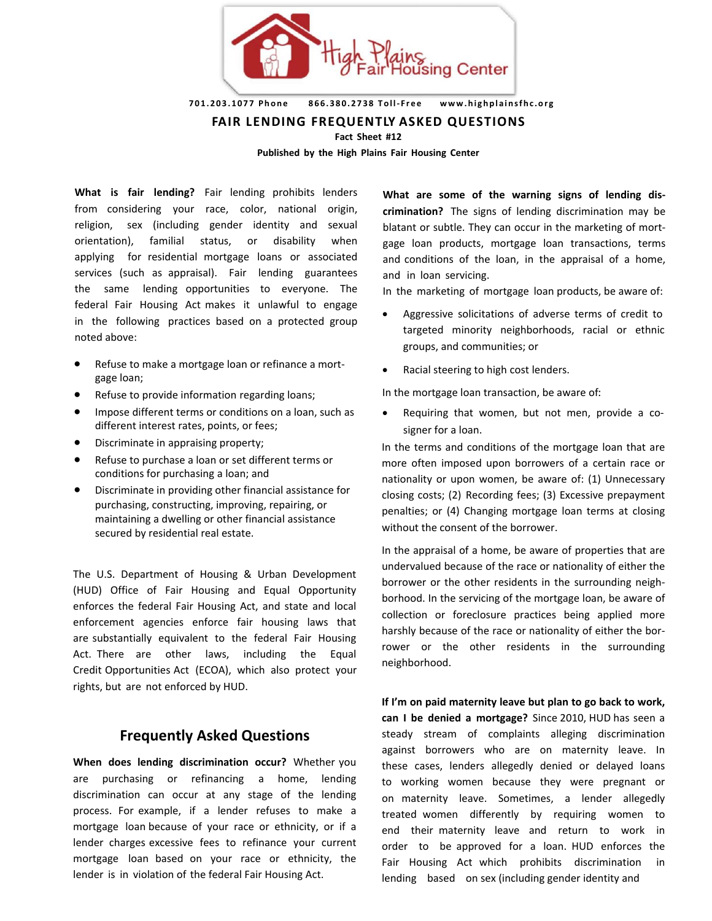

**701.203.1077 Phone 866.380.2738 Toll- Free www.highplainsfhc.org**

**FAIR LENDING FREQUENTLY ASKED QUESTIONS** 

**Fact Sheet #12**

**Published by the High Plains Fair Housing Center**

**What is fair lending?** Fair lending prohibits lenders from considering your race, color, national origin, religion, sex (including gender identity and sexual orientation), familial status, or disability when applying for residential mortgage loans or associated services (such as appraisal). Fair lending guarantees the same lending opportunities to everyone. The federal Fair Housing Act makes it unlawful to engage in the following practices based on a protected group noted above:

- Refuse to make a mortgage loan or refinance a mortgage loan;
- Refuse to provide information regarding loans;
- Impose different terms or conditions on a loan, such as different interest rates, points, or fees;
- Discriminate in appraising property;
- Refuse to purchase a loan or set different terms or conditions for purchasing a loan; and
- Discriminate in providing other financial assistance for purchasing, constructing, improving, repairing, or maintaining a dwelling or other financial assistance secured by residential real estate.

The U.S. Department of Housing & Urban Development (HUD) Office of Fair Housing and Equal Opportunity enforces the federal Fair Housing Act, and state and local enforcement agencies enforce fair housing laws that are substantially equivalent to the federal Fair Housing Act. There are other laws, including the Equal Credit Opportunities Act (ECOA), which also protect your rights, but are not enforced by HUD.

## **Frequently Asked Questions**

**When does lending discrimination occur?** Whether you are purchasing or refinancing a home, lending discrimination can occur at any stage of the lending process. For example, if a lender refuses to make a mortgage loan because of your race or ethnicity, or if a lender charges excessive fees to refinance your current mortgage loan based on your race or ethnicity, the lender is in violation of the federal Fair Housing Act.

**What are some of the warning signs of lending discrimination?** The signs of lending discrimination may be blatant or subtle. They can occur in the marketing of mortgage loan products, mortgage loan transactions, terms and conditions of the loan, in the appraisal of a home, and in loan servicing.

In the marketing of mortgage loan products, be aware of:

- Aggressive solicitations of adverse terms of credit to targeted minority neighborhoods, racial or ethnic groups, and communities; or
- Racial steering to high cost lenders.

In the mortgage loan transaction, be aware of:

• Requiring that women, but not men, provide a cosigner for a loan.

In the terms and conditions of the mortgage loan that are more often imposed upon borrowers of a certain race or nationality or upon women, be aware of: (1) Unnecessary closing costs; (2) Recording fees; (3) Excessive prepayment penalties; or (4) Changing mortgage loan terms at closing without the consent of the borrower.

In the appraisal of a home, be aware of properties that are undervalued because of the race or nationality of either the borrower or the other residents in the surrounding neighborhood. In the servicing of the mortgage loan, be aware of collection or foreclosure practices being applied more harshly because of the race or nationality of either the borrower or the other residents in the surrounding neighborhood.

**If I'm on paid maternity leave but plan to go back to work, can I be denied a mortgage?** Since 2010, HUD has seen a steady stream of complaints alleging discrimination against borrowers who are on maternity leave. In these cases, lenders allegedly denied or delayed loans to working women because they were pregnant or on maternity leave. Sometimes, a lender allegedly treated women differently by requiring women to end their maternity leave and return to work in order to be approved for a loan. HUD enforces the Fair Housing Act which prohibits discrimination in lending based on sex (including gender identity and